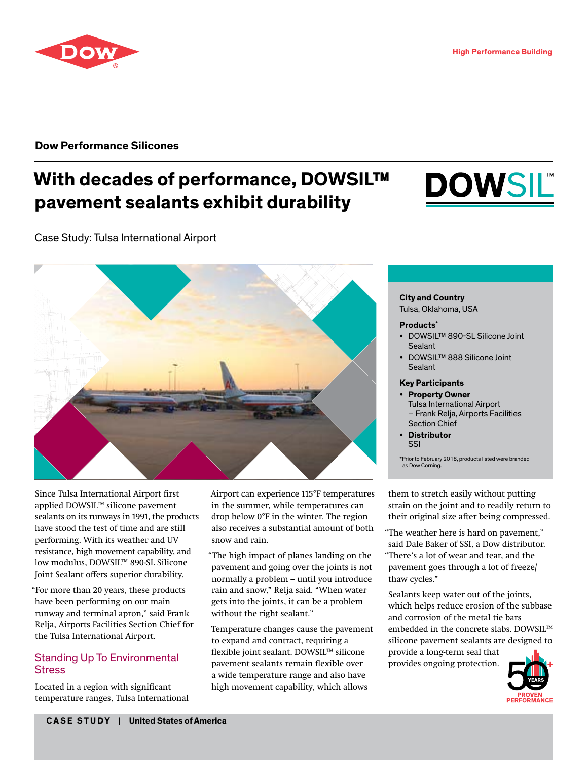### **Dow Performance Silicones**

# **With decades of performance, DOWSIL™ pavement sealants exhibit durability**



Case Study: Tulsa International Airport



Since Tulsa International Airport first applied DOWSIL™ silicone pavement sealants on its runways in 1991, the products have stood the test of time and are still performing. With its weather and UV resistance, high movement capability, and low modulus, DOWSIL™ 890-SL Silicone Joint Sealant offers superior durability.

"For more than 20 years, these products have been performing on our main runway and terminal apron," said Frank Relja, Airports Facilities Section Chief for the Tulsa International Airport.

## Standing Up To Environmental **Stress**

Located in a region with significant temperature ranges, Tulsa International Airport can experience 115°F temperatures in the summer, while temperatures can drop below 0°F in the winter. The region also receives a substantial amount of both snow and rain.

"The high impact of planes landing on the pavement and going over the joints is not normally a problem – until you introduce rain and snow," Relja said. "When water gets into the joints, it can be a problem without the right sealant."

Temperature changes cause the pavement to expand and contract, requiring a flexible joint sealant. DOWSIL™ silicone pavement sealants remain flexible over a wide temperature range and also have high movement capability, which allows

### **City and Country**

Tulsa, Oklahoma, USA

#### **Products\***

- DOWSIL™ 890-SL Silicone Joint Sealant
- DOWSIL™ 888 Silicone Joint **Sealant**

#### **Key Participants**

- **Property Owner** Tulsa International Airport – Frank Relja, Airports Facilities Section Chief
- **Distributor** SSI

\*Prior to February 2018, products listed were branded as Dow Corning.

them to stretch easily without putting strain on the joint and to readily return to their original size after being compressed.

"The weather here is hard on pavement," said Dale Baker of SSI, a Dow distributor. "There's a lot of wear and tear, and the pavement goes through a lot of freeze/ thaw cycles."

Sealants keep water out of the joints, which helps reduce erosion of the subbase and corrosion of the metal tie bars embedded in the concrete slabs. DOWSIL™ silicone pavement sealants are designed to provide a long-term seal that provides ongoing protection.